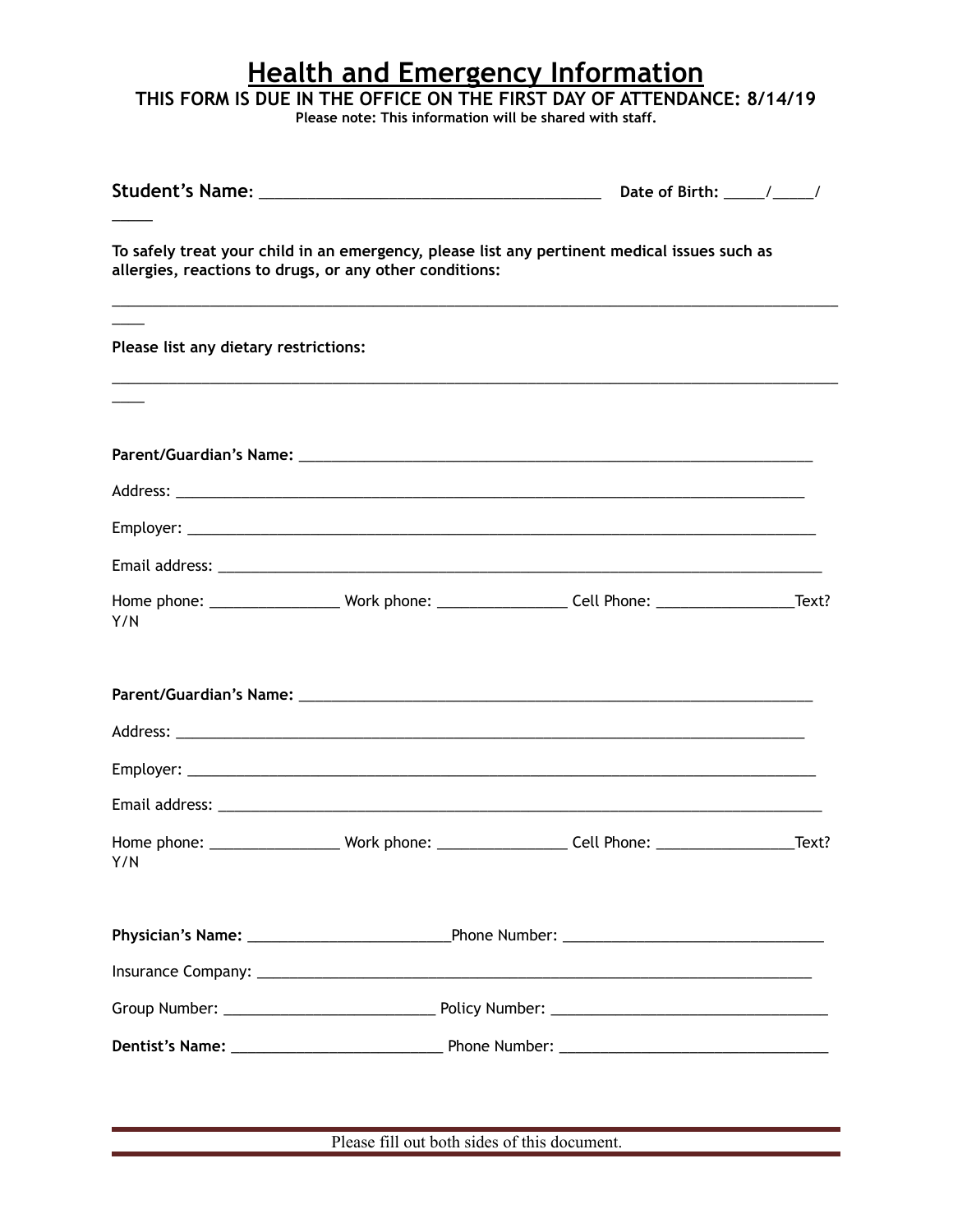## **Health and Emergency Information THIS FORM IS DUE IN THE OFFICE ON THE FIRST DAY OF ATTENDANCE: 8/14/19**

**Please note: This information will be shared with staff.**

|                                       |                                                         | Date of Birth: _____/_____/                                                                               |  |
|---------------------------------------|---------------------------------------------------------|-----------------------------------------------------------------------------------------------------------|--|
|                                       | allergies, reactions to drugs, or any other conditions: | To safely treat your child in an emergency, please list any pertinent medical issues such as              |  |
| Please list any dietary restrictions: |                                                         |                                                                                                           |  |
|                                       |                                                         |                                                                                                           |  |
|                                       |                                                         |                                                                                                           |  |
|                                       |                                                         |                                                                                                           |  |
|                                       |                                                         |                                                                                                           |  |
|                                       |                                                         |                                                                                                           |  |
| Y/N                                   |                                                         |                                                                                                           |  |
|                                       |                                                         |                                                                                                           |  |
|                                       |                                                         |                                                                                                           |  |
|                                       |                                                         |                                                                                                           |  |
| Y/N                                   |                                                         | Home phone: ____________________Work phone: ___________________Cell Phone: _________________________Text? |  |
|                                       |                                                         |                                                                                                           |  |
|                                       |                                                         |                                                                                                           |  |
|                                       |                                                         |                                                                                                           |  |
|                                       |                                                         |                                                                                                           |  |
|                                       |                                                         |                                                                                                           |  |

Please fill out both sides of this document.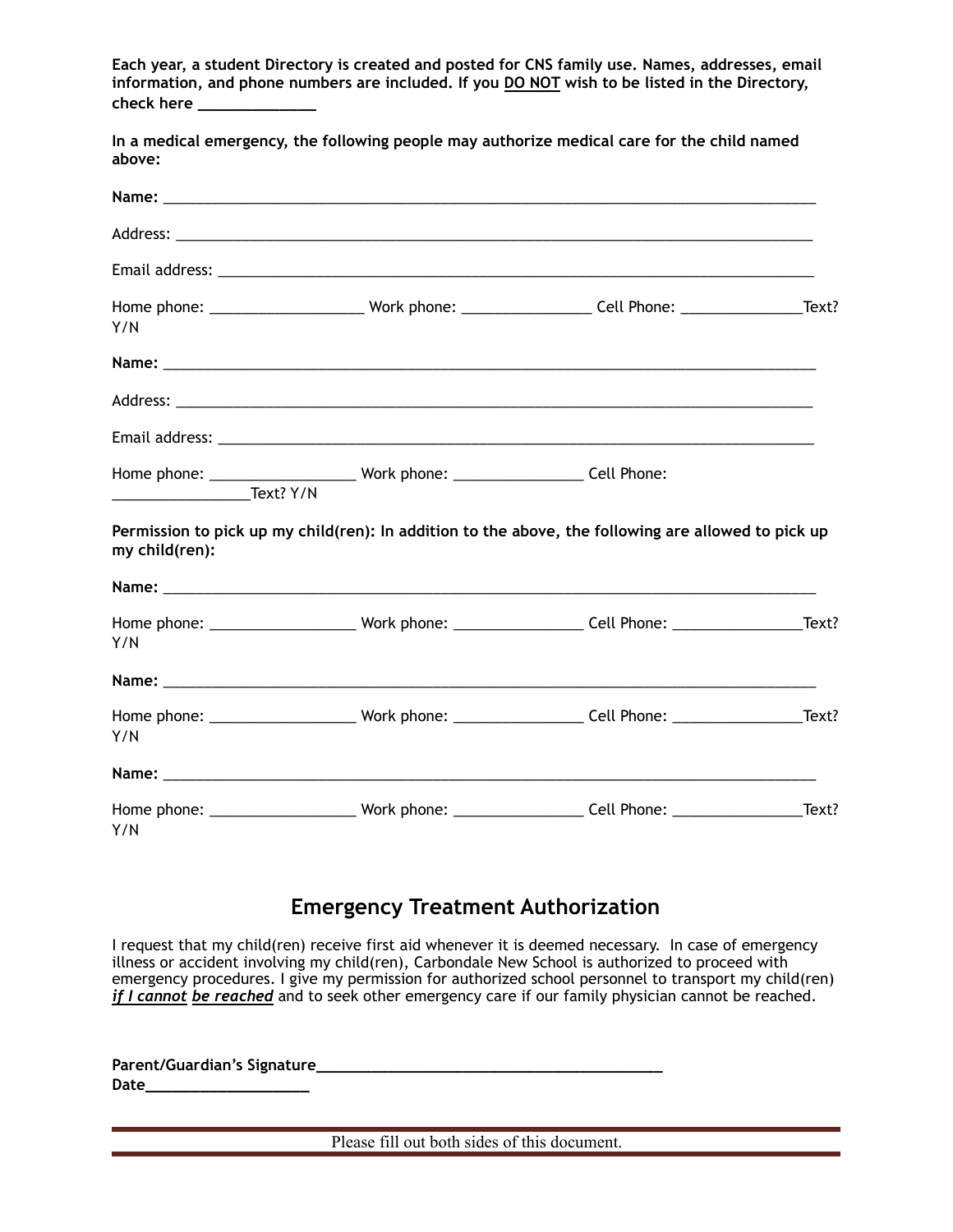**Each year, a student Directory is created and posted for CNS family use. Names, addresses, email information, and phone numbers are included. If you DO NOT wish to be listed in the Directory, check here \_\_\_\_\_\_\_\_\_\_\_\_\_** 

**In a medical emergency, the following people may authorize medical care for the child named above:**

| Y/N            | Home phone: __________________________Work phone: _________________Cell Phone: _____________________Text?       |  |
|----------------|-----------------------------------------------------------------------------------------------------------------|--|
|                |                                                                                                                 |  |
|                |                                                                                                                 |  |
|                |                                                                                                                 |  |
|                | Home phone: ________________________Work phone: __________________________Cell Phone:                           |  |
| my child(ren): | Permission to pick up my child(ren): In addition to the above, the following are allowed to pick up             |  |
|                |                                                                                                                 |  |
| Y/N            | Home phone: ___________________________Work phone: ____________________Cell Phone: _______________________Text? |  |
|                |                                                                                                                 |  |
| Y/N            | Home phone: __________________________Work phone: ____________________Cell Phone: _______________________Text?  |  |
|                |                                                                                                                 |  |
| Y/N            | Home phone: _______________________Work phone: ___________________Cell Phone: _______________________Text?      |  |

## **Emergency Treatment Authorization**

I request that my child(ren) receive first aid whenever it is deemed necessary. In case of emergency illness or accident involving my child(ren), Carbondale New School is authorized to proceed with emergency procedures. I give my permission for authorized school personnel to transport my child(ren) *if I cannot be reached* and to seek other emergency care if our family physician cannot be reached.

| Parent/Guardian's Signature_ |  |
|------------------------------|--|
| Date                         |  |